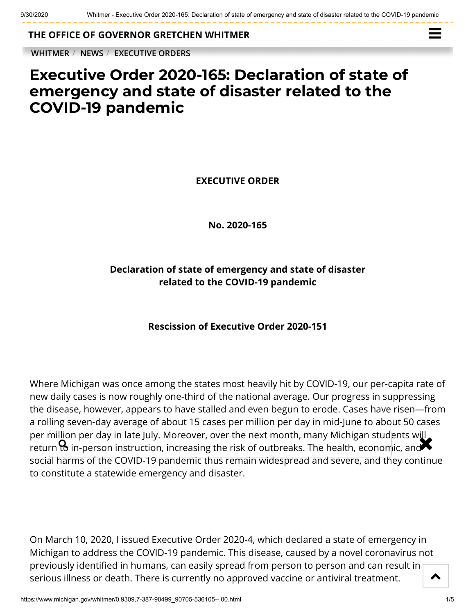**THE OFFICE OF [GOVERNOR GRETCHEN WHITMER](https://www.michigan.gov/whitmer/)**

**[WHITMER](https://www.michigan.gov/whitmer/)** / **[NEWS](https://www.michigan.gov/whitmer/0,9309,7-387-90499---,00.html)** / **[EXECUTIVE ORDERS](https://www.michigan.gov/whitmer/0,9309,7-387-90499_90705---,00.html)**



## **Executive Order 2020-165: Declaration of state of emergency and state of disaster related to the COVID-19 pandemic**

**EXECUTIVE ORDER**

**No. 2020-165**

## **Declaration of state of emergency and state of disaster related to the COVID-19 pandemic**

## **Rescission of Executive Order 2020-151**

Where Michigan was once among the states most heavily hit by COVID-19, our per-capita rate of new daily cases is now roughly one-third of the national average. Our progress in suppressing the disease, however, appears to have stalled and even begun to erode. Cases have risen—from a rolling seven-day average of about 15 cases per million per day in mid-June to about 50 cases per million per day in late July. Moreover, over the next month, many Michigan students will per million per day in late july. Moreover, over the next month, many Michigan students will<br>return **to** in-person instruction, increasing the risk of outbreaks. The health, economic, and social harms of the COVID-19 pandemic thus remain widespread and severe, and they continue to constitute a statewide emergency and disaster.

On March 10, 2020, I issued Executive Order 2020-4, which declared a state of emergency in Michigan to address the COVID-19 pandemic. This disease, caused by a novel coronavirus not previously identified in humans, can easily spread from person to person and can result in serious illness or death. There is currently no approved vaccine or antiviral treatment.  $\blacktriangle$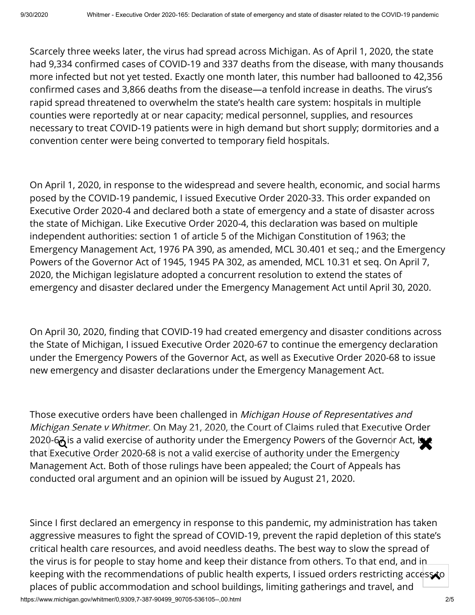Scarcely three weeks later, the virus had spread across Michigan. As of April 1, 2020, the state had 9,334 confirmed cases of COVID-19 and 337 deaths from the disease, with many thousands more infected but not yet tested. Exactly one month later, this number had ballooned to 42,356 confirmed cases and 3,866 deaths from the disease—a tenfold increase in deaths. The virus's rapid spread threatened to overwhelm the state's health care system: hospitals in multiple counties were reportedly at or near capacity; medical personnel, supplies, and resources necessary to treat COVID-19 patients were in high demand but short supply; dormitories and a convention center were being converted to temporary field hospitals.

On April 1, 2020, in response to the widespread and severe health, economic, and social harms posed by the COVID-19 pandemic, I issued Executive Order 2020-33. This order expanded on Executive Order 2020-4 and declared both a state of emergency and a state of disaster across the state of Michigan. Like Executive Order 2020-4, this declaration was based on multiple independent authorities: section 1 of article 5 of the Michigan Constitution of 1963; the Emergency Management Act, 1976 PA 390, as amended, MCL 30.401 et seq.; and the Emergency Powers of the Governor Act of 1945, 1945 PA 302, as amended, MCL 10.31 et seq. On April 7, 2020, the Michigan legislature adopted a concurrent resolution to extend the states of emergency and disaster declared under the Emergency Management Act until April 30, 2020.

On April 30, 2020, finding that COVID-19 had created emergency and disaster conditions across the State of Michigan, I issued Executive Order 2020-67 to continue the emergency declaration under the Emergency Powers of the Governor Act, as well as Executive Order 2020-68 to issue new emergency and disaster declarations under the Emergency Management Act.

Those executive orders have been challenged in *Michigan House of Representatives and* Michigan Senate v Whitmer. On May 21, 2020, the Court of Claims ruled that Executive Order 2020-6 $\vec{a}$  is a valid exercise of authority under the Emergency Powers of the Governor Act, but<br>that Executive Order 2020, 68 is not a valid exercise of authority under the Emergency that Executive Order 2020-68 is not a valid exercise of authority under the Emergency Management Act. Both of those rulings have been appealed; the Court of Appeals has conducted oral argument and an opinion will be issued by August 21, 2020.

https://www.michigan.gov/whitmer/0,9309,7-387-90499\_90705-536105--,00.html 2/5 Since I first declared an emergency in response to this pandemic, my administration has taken aggressive measures to fight the spread of COVID-19, prevent the rapid depletion of this state's critical health care resources, and avoid needless deaths. The best way to slow the spread of the virus is for people to stay home and keep their distance from others. To that end, and in keeping with the recommendations of public health experts, I issued orders restricting access to places of public accommodation and school buildings, limiting gatherings and travel, and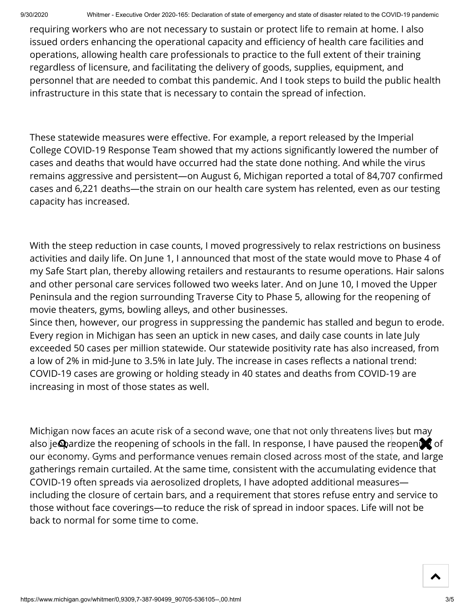requiring workers who are not necessary to sustain or protect life to remain at home. I also issued orders enhancing the operational capacity and efficiency of health care facilities and operations, allowing health care professionals to practice to the full extent of their training regardless of licensure, and facilitating the delivery of goods, supplies, equipment, and personnel that are needed to combat this pandemic. And I took steps to build the public health infrastructure in this state that is necessary to contain the spread of infection.

These statewide measures were effective. For example, a report released by the Imperial College COVID-19 Response Team showed that my actions signicantly lowered the number of cases and deaths that would have occurred had the state done nothing. And while the virus remains aggressive and persistent—on August 6, Michigan reported a total of 84,707 confirmed cases and 6,221 deaths—the strain on our health care system has relented, even as our testing capacity has increased.

With the steep reduction in case counts, I moved progressively to relax restrictions on business activities and daily life. On June 1, I announced that most of the state would move to Phase 4 of my Safe Start plan, thereby allowing retailers and restaurants to resume operations. Hair salons and other personal care services followed two weeks later. And on June 10, I moved the Upper Peninsula and the region surrounding Traverse City to Phase 5, allowing for the reopening of movie theaters, gyms, bowling alleys, and other businesses.

Since then, however, our progress in suppressing the pandemic has stalled and begun to erode. Every region in Michigan has seen an uptick in new cases, and daily case counts in late July exceeded 50 cases per million statewide. Our statewide positivity rate has also increased, from a low of 2% in mid-June to 3.5% in late July. The increase in cases reflects a national trend: COVID-19 cases are growing or holding steady in 40 states and deaths from COVID-19 are increasing in most of those states as well.

Michigan now faces an acute risk of a second wave, one that not only threatens lives but may also je@ardize the reopening of schools in the fall. In response, I have paused the reopening of our <del>economy. Gyms and performance venues remain closed across most of the stat</del>e, and large gatherings remain curtailed. At the same time, consistent with the accumulating evidence that COVID-19 often spreads via aerosolized droplets, I have adopted additional measures including the closure of certain bars, and a requirement that stores refuse entry and service to those without face coverings—to reduce the risk of spread in indoor spaces. Life will not be back to normal for some time to come.

 $\blacktriangle$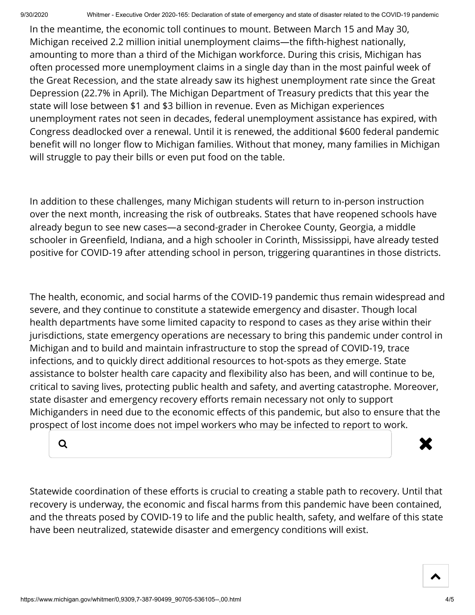In the meantime, the economic toll continues to mount. Between March 15 and May 30, Michigan received 2.2 million initial unemployment claims—the fifth-highest nationally, amounting to more than a third of the Michigan workforce. During this crisis, Michigan has often processed more unemployment claims in a single day than in the most painful week of the Great Recession, and the state already saw its highest unemployment rate since the Great Depression (22.7% in April). The Michigan Department of Treasury predicts that this year the state will lose between \$1 and \$3 billion in revenue. Even as Michigan experiences unemployment rates not seen in decades, federal unemployment assistance has expired, with Congress deadlocked over a renewal. Until it is renewed, the additional \$600 federal pandemic benefit will no longer flow to Michigan families. Without that money, many families in Michigan will struggle to pay their bills or even put food on the table.

In addition to these challenges, many Michigan students will return to in-person instruction over the next month, increasing the risk of outbreaks. States that have reopened schools have already begun to see new cases—a second-grader in Cherokee County, Georgia, a middle schooler in Greenfield, Indiana, and a high schooler in Corinth, Mississippi, have already tested positive for COVID-19 after attending school in person, triggering quarantines in those districts.

The health, economic, and social harms of the COVID-19 pandemic thus remain widespread and severe, and they continue to constitute a statewide emergency and disaster. Though local health departments have some limited capacity to respond to cases as they arise within their jurisdictions, state emergency operations are necessary to bring this pandemic under control in Michigan and to build and maintain infrastructure to stop the spread of COVID-19, trace infections, and to quickly direct additional resources to hot-spots as they emerge. State assistance to bolster health care capacity and flexibility also has been, and will continue to be, critical to saving lives, protecting public health and safety, and averting catastrophe. Moreover, state disaster and emergency recovery efforts remain necessary not only to support Michiganders in need due to the economic effects of this pandemic, but also to ensure that the prospect of lost income does not impel workers who may be infected to report to work.



Statewide coordination of these efforts is crucial to creating a stable path to recovery. Until that recovery is underway, the economic and fiscal harms from this pandemic have been contained, and the threats posed by COVID-19 to life and the public health, safety, and welfare of this state have been neutralized, statewide disaster and emergency conditions will exist.

 $\blacktriangle$